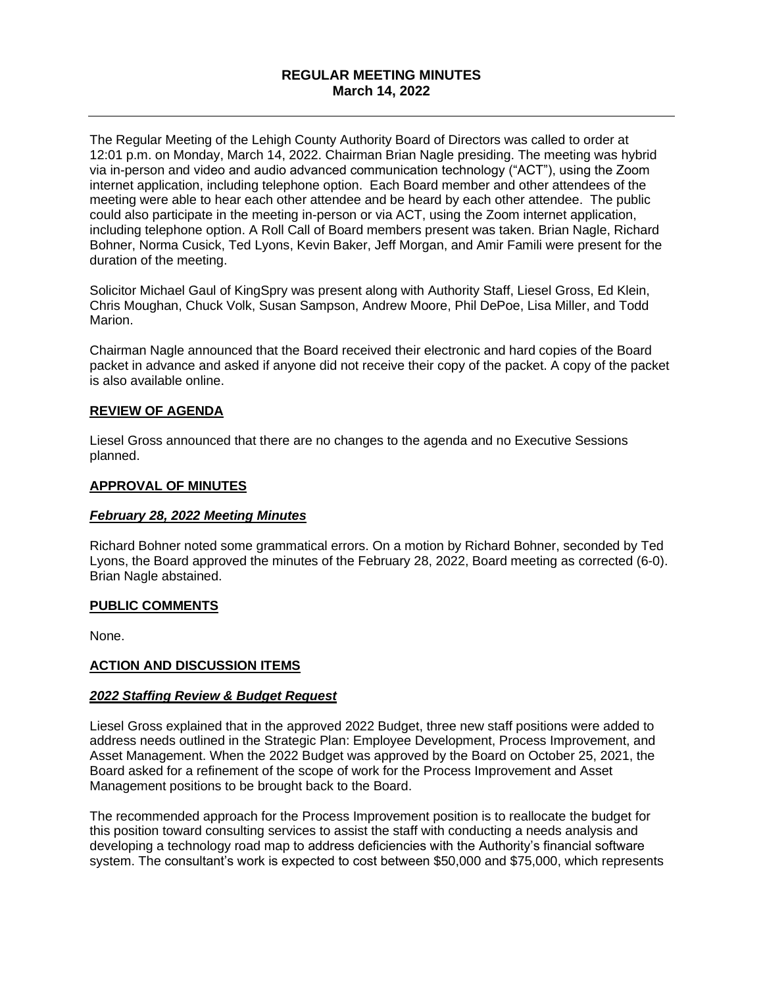### **REGULAR MEETING MINUTES March 14, 2022**

The Regular Meeting of the Lehigh County Authority Board of Directors was called to order at 12:01 p.m. on Monday, March 14, 2022. Chairman Brian Nagle presiding. The meeting was hybrid via in-person and video and audio advanced communication technology ("ACT"), using the Zoom internet application, including telephone option. Each Board member and other attendees of the meeting were able to hear each other attendee and be heard by each other attendee. The public could also participate in the meeting in-person or via ACT, using the Zoom internet application, including telephone option. A Roll Call of Board members present was taken. Brian Nagle, Richard Bohner, Norma Cusick, Ted Lyons, Kevin Baker, Jeff Morgan, and Amir Famili were present for the duration of the meeting.

Solicitor Michael Gaul of KingSpry was present along with Authority Staff, Liesel Gross, Ed Klein, Chris Moughan, Chuck Volk, Susan Sampson, Andrew Moore, Phil DePoe, Lisa Miller, and Todd Marion.

Chairman Nagle announced that the Board received their electronic and hard copies of the Board packet in advance and asked if anyone did not receive their copy of the packet. A copy of the packet is also available online.

### **REVIEW OF AGENDA**

Liesel Gross announced that there are no changes to the agenda and no Executive Sessions planned.

#### **APPROVAL OF MINUTES**

#### *February 28, 2022 Meeting Minutes*

Richard Bohner noted some grammatical errors. On a motion by Richard Bohner, seconded by Ted Lyons, the Board approved the minutes of the February 28, 2022, Board meeting as corrected (6-0). Brian Nagle abstained.

#### **PUBLIC COMMENTS**

None.

#### **ACTION AND DISCUSSION ITEMS**

#### *2022 Staffing Review & Budget Request*

Liesel Gross explained that in the approved 2022 Budget, three new staff positions were added to address needs outlined in the Strategic Plan: Employee Development, Process Improvement, and Asset Management. When the 2022 Budget was approved by the Board on October 25, 2021, the Board asked for a refinement of the scope of work for the Process Improvement and Asset Management positions to be brought back to the Board.

The recommended approach for the Process Improvement position is to reallocate the budget for this position toward consulting services to assist the staff with conducting a needs analysis and developing a technology road map to address deficiencies with the Authority's financial software system. The consultant's work is expected to cost between \$50,000 and \$75,000, which represents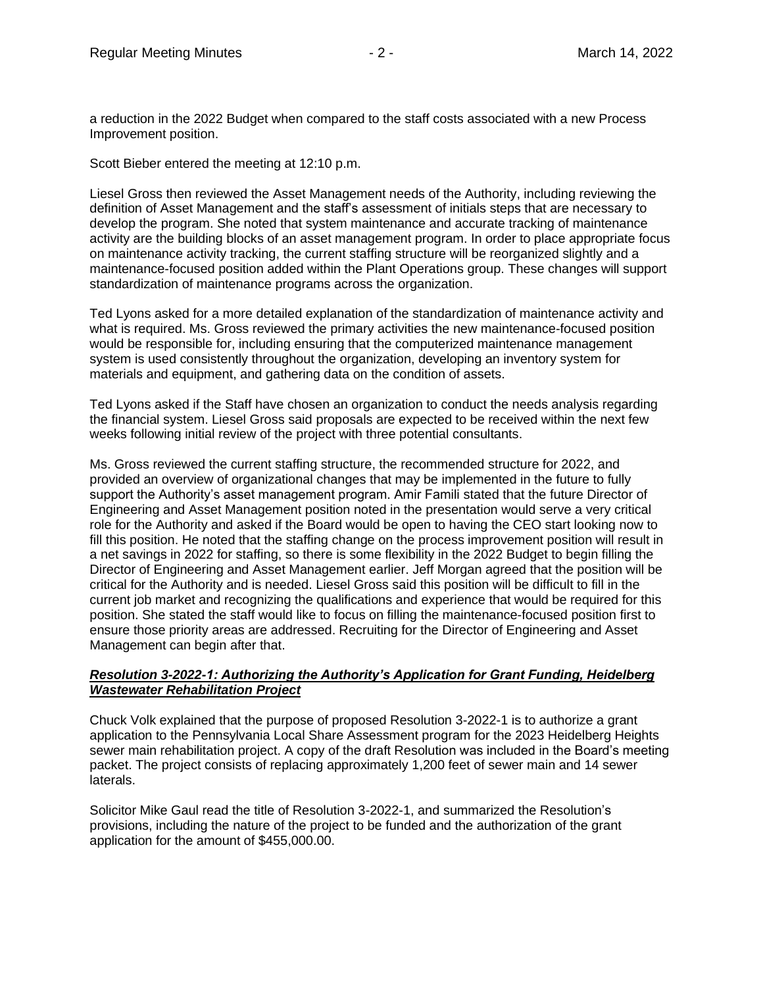a reduction in the 2022 Budget when compared to the staff costs associated with a new Process Improvement position.

Scott Bieber entered the meeting at 12:10 p.m.

Liesel Gross then reviewed the Asset Management needs of the Authority, including reviewing the definition of Asset Management and the staff's assessment of initials steps that are necessary to develop the program. She noted that system maintenance and accurate tracking of maintenance activity are the building blocks of an asset management program. In order to place appropriate focus on maintenance activity tracking, the current staffing structure will be reorganized slightly and a maintenance-focused position added within the Plant Operations group. These changes will support standardization of maintenance programs across the organization.

Ted Lyons asked for a more detailed explanation of the standardization of maintenance activity and what is required. Ms. Gross reviewed the primary activities the new maintenance-focused position would be responsible for, including ensuring that the computerized maintenance management system is used consistently throughout the organization, developing an inventory system for materials and equipment, and gathering data on the condition of assets.

Ted Lyons asked if the Staff have chosen an organization to conduct the needs analysis regarding the financial system. Liesel Gross said proposals are expected to be received within the next few weeks following initial review of the project with three potential consultants.

Ms. Gross reviewed the current staffing structure, the recommended structure for 2022, and provided an overview of organizational changes that may be implemented in the future to fully support the Authority's asset management program. Amir Famili stated that the future Director of Engineering and Asset Management position noted in the presentation would serve a very critical role for the Authority and asked if the Board would be open to having the CEO start looking now to fill this position. He noted that the staffing change on the process improvement position will result in a net savings in 2022 for staffing, so there is some flexibility in the 2022 Budget to begin filling the Director of Engineering and Asset Management earlier. Jeff Morgan agreed that the position will be critical for the Authority and is needed. Liesel Gross said this position will be difficult to fill in the current job market and recognizing the qualifications and experience that would be required for this position. She stated the staff would like to focus on filling the maintenance-focused position first to ensure those priority areas are addressed. Recruiting for the Director of Engineering and Asset Management can begin after that.

#### *Resolution 3-2022-1: Authorizing the Authority's Application for Grant Funding, Heidelberg Wastewater Rehabilitation Project*

Chuck Volk explained that the purpose of proposed Resolution 3-2022-1 is to authorize a grant application to the Pennsylvania Local Share Assessment program for the 2023 Heidelberg Heights sewer main rehabilitation project. A copy of the draft Resolution was included in the Board's meeting packet. The project consists of replacing approximately 1,200 feet of sewer main and 14 sewer laterals.

Solicitor Mike Gaul read the title of Resolution 3-2022-1, and summarized the Resolution's provisions, including the nature of the project to be funded and the authorization of the grant application for the amount of \$455,000.00.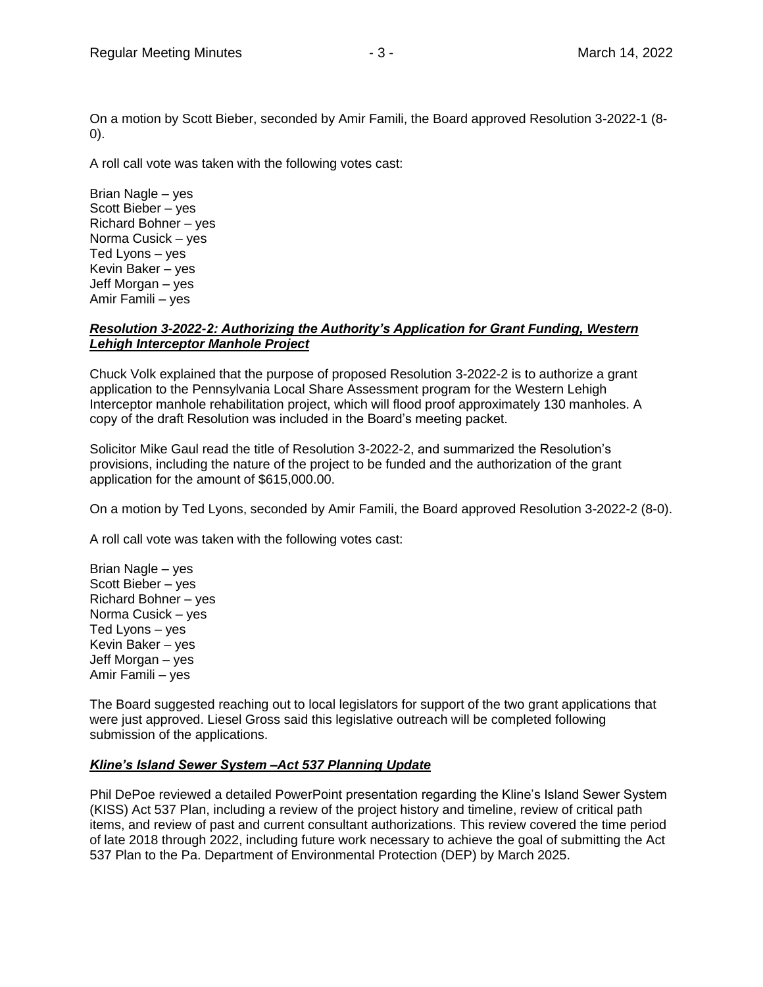On a motion by Scott Bieber, seconded by Amir Famili, the Board approved Resolution 3-2022-1 (8- 0).

A roll call vote was taken with the following votes cast:

Brian Nagle – yes Scott Bieber – yes Richard Bohner – yes Norma Cusick – yes Ted Lyons – yes Kevin Baker – yes Jeff Morgan – yes Amir Famili – yes

### *Resolution 3-2022-2: Authorizing the Authority's Application for Grant Funding, Western Lehigh Interceptor Manhole Project*

Chuck Volk explained that the purpose of proposed Resolution 3-2022-2 is to authorize a grant application to the Pennsylvania Local Share Assessment program for the Western Lehigh Interceptor manhole rehabilitation project, which will flood proof approximately 130 manholes. A copy of the draft Resolution was included in the Board's meeting packet.

Solicitor Mike Gaul read the title of Resolution 3-2022-2, and summarized the Resolution's provisions, including the nature of the project to be funded and the authorization of the grant application for the amount of \$615,000.00.

On a motion by Ted Lyons, seconded by Amir Famili, the Board approved Resolution 3-2022-2 (8-0).

A roll call vote was taken with the following votes cast:

Brian Nagle – yes Scott Bieber – yes Richard Bohner – yes Norma Cusick – yes Ted Lyons – yes Kevin Baker – yes Jeff Morgan – yes Amir Famili – yes

The Board suggested reaching out to local legislators for support of the two grant applications that were just approved. Liesel Gross said this legislative outreach will be completed following submission of the applications.

### *Kline's Island Sewer System –Act 537 Planning Update*

Phil DePoe reviewed a detailed PowerPoint presentation regarding the Kline's Island Sewer System (KISS) Act 537 Plan, including a review of the project history and timeline, review of critical path items, and review of past and current consultant authorizations. This review covered the time period of late 2018 through 2022, including future work necessary to achieve the goal of submitting the Act 537 Plan to the Pa. Department of Environmental Protection (DEP) by March 2025.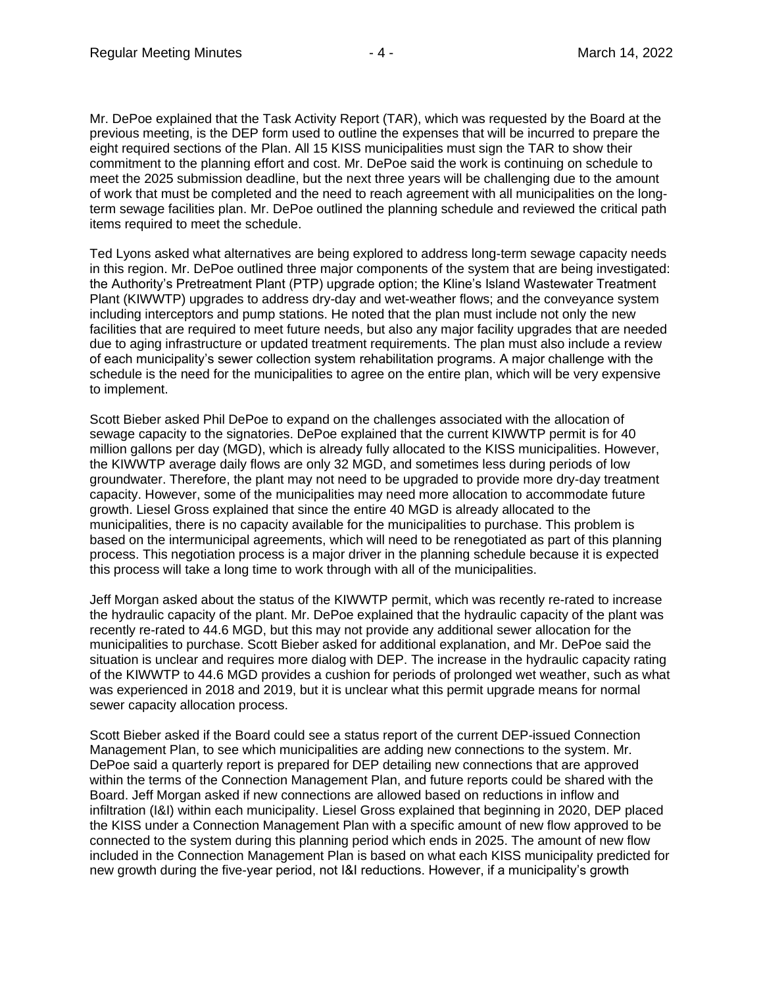Mr. DePoe explained that the Task Activity Report (TAR), which was requested by the Board at the previous meeting, is the DEP form used to outline the expenses that will be incurred to prepare the eight required sections of the Plan. All 15 KISS municipalities must sign the TAR to show their commitment to the planning effort and cost. Mr. DePoe said the work is continuing on schedule to meet the 2025 submission deadline, but the next three years will be challenging due to the amount of work that must be completed and the need to reach agreement with all municipalities on the longterm sewage facilities plan. Mr. DePoe outlined the planning schedule and reviewed the critical path items required to meet the schedule.

Ted Lyons asked what alternatives are being explored to address long-term sewage capacity needs in this region. Mr. DePoe outlined three major components of the system that are being investigated: the Authority's Pretreatment Plant (PTP) upgrade option; the Kline's Island Wastewater Treatment Plant (KIWWTP) upgrades to address dry-day and wet-weather flows; and the conveyance system including interceptors and pump stations. He noted that the plan must include not only the new facilities that are required to meet future needs, but also any major facility upgrades that are needed due to aging infrastructure or updated treatment requirements. The plan must also include a review of each municipality's sewer collection system rehabilitation programs. A major challenge with the schedule is the need for the municipalities to agree on the entire plan, which will be very expensive to implement.

Scott Bieber asked Phil DePoe to expand on the challenges associated with the allocation of sewage capacity to the signatories. DePoe explained that the current KIWWTP permit is for 40 million gallons per day (MGD), which is already fully allocated to the KISS municipalities. However, the KIWWTP average daily flows are only 32 MGD, and sometimes less during periods of low groundwater. Therefore, the plant may not need to be upgraded to provide more dry-day treatment capacity. However, some of the municipalities may need more allocation to accommodate future growth. Liesel Gross explained that since the entire 40 MGD is already allocated to the municipalities, there is no capacity available for the municipalities to purchase. This problem is based on the intermunicipal agreements, which will need to be renegotiated as part of this planning process. This negotiation process is a major driver in the planning schedule because it is expected this process will take a long time to work through with all of the municipalities.

Jeff Morgan asked about the status of the KIWWTP permit, which was recently re-rated to increase the hydraulic capacity of the plant. Mr. DePoe explained that the hydraulic capacity of the plant was recently re-rated to 44.6 MGD, but this may not provide any additional sewer allocation for the municipalities to purchase. Scott Bieber asked for additional explanation, and Mr. DePoe said the situation is unclear and requires more dialog with DEP. The increase in the hydraulic capacity rating of the KIWWTP to 44.6 MGD provides a cushion for periods of prolonged wet weather, such as what was experienced in 2018 and 2019, but it is unclear what this permit upgrade means for normal sewer capacity allocation process.

Scott Bieber asked if the Board could see a status report of the current DEP-issued Connection Management Plan, to see which municipalities are adding new connections to the system. Mr. DePoe said a quarterly report is prepared for DEP detailing new connections that are approved within the terms of the Connection Management Plan, and future reports could be shared with the Board. Jeff Morgan asked if new connections are allowed based on reductions in inflow and infiltration (I&I) within each municipality. Liesel Gross explained that beginning in 2020, DEP placed the KISS under a Connection Management Plan with a specific amount of new flow approved to be connected to the system during this planning period which ends in 2025. The amount of new flow included in the Connection Management Plan is based on what each KISS municipality predicted for new growth during the five-year period, not I&I reductions. However, if a municipality's growth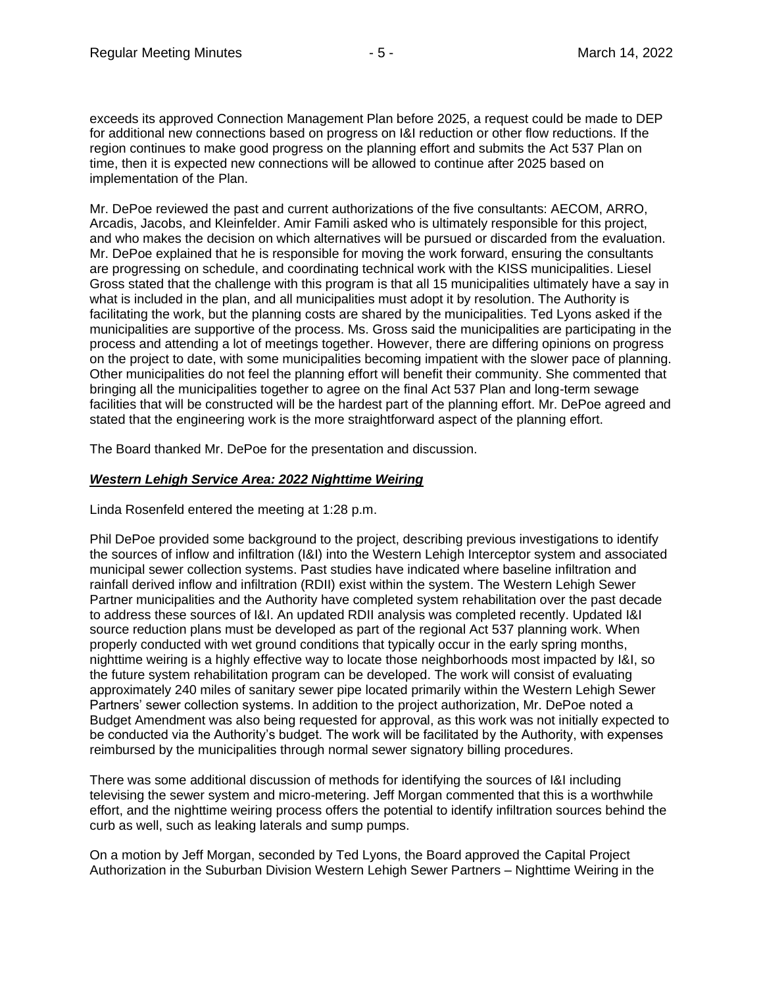exceeds its approved Connection Management Plan before 2025, a request could be made to DEP for additional new connections based on progress on I&I reduction or other flow reductions. If the region continues to make good progress on the planning effort and submits the Act 537 Plan on time, then it is expected new connections will be allowed to continue after 2025 based on implementation of the Plan.

Mr. DePoe reviewed the past and current authorizations of the five consultants: AECOM, ARRO, Arcadis, Jacobs, and Kleinfelder. Amir Famili asked who is ultimately responsible for this project, and who makes the decision on which alternatives will be pursued or discarded from the evaluation. Mr. DePoe explained that he is responsible for moving the work forward, ensuring the consultants are progressing on schedule, and coordinating technical work with the KISS municipalities. Liesel Gross stated that the challenge with this program is that all 15 municipalities ultimately have a say in what is included in the plan, and all municipalities must adopt it by resolution. The Authority is facilitating the work, but the planning costs are shared by the municipalities. Ted Lyons asked if the municipalities are supportive of the process. Ms. Gross said the municipalities are participating in the process and attending a lot of meetings together. However, there are differing opinions on progress on the project to date, with some municipalities becoming impatient with the slower pace of planning. Other municipalities do not feel the planning effort will benefit their community. She commented that bringing all the municipalities together to agree on the final Act 537 Plan and long-term sewage facilities that will be constructed will be the hardest part of the planning effort. Mr. DePoe agreed and stated that the engineering work is the more straightforward aspect of the planning effort.

The Board thanked Mr. DePoe for the presentation and discussion.

#### *Western Lehigh Service Area: 2022 Nighttime Weiring*

Linda Rosenfeld entered the meeting at 1:28 p.m.

Phil DePoe provided some background to the project, describing previous investigations to identify the sources of inflow and infiltration (I&I) into the Western Lehigh Interceptor system and associated municipal sewer collection systems. Past studies have indicated where baseline infiltration and rainfall derived inflow and infiltration (RDII) exist within the system. The Western Lehigh Sewer Partner municipalities and the Authority have completed system rehabilitation over the past decade to address these sources of I&I. An updated RDII analysis was completed recently. Updated I&I source reduction plans must be developed as part of the regional Act 537 planning work. When properly conducted with wet ground conditions that typically occur in the early spring months, nighttime weiring is a highly effective way to locate those neighborhoods most impacted by I&I, so the future system rehabilitation program can be developed. The work will consist of evaluating approximately 240 miles of sanitary sewer pipe located primarily within the Western Lehigh Sewer Partners' sewer collection systems. In addition to the project authorization, Mr. DePoe noted a Budget Amendment was also being requested for approval, as this work was not initially expected to be conducted via the Authority's budget. The work will be facilitated by the Authority, with expenses reimbursed by the municipalities through normal sewer signatory billing procedures.

There was some additional discussion of methods for identifying the sources of I&I including televising the sewer system and micro-metering. Jeff Morgan commented that this is a worthwhile effort, and the nighttime weiring process offers the potential to identify infiltration sources behind the curb as well, such as leaking laterals and sump pumps.

On a motion by Jeff Morgan, seconded by Ted Lyons, the Board approved the Capital Project Authorization in the Suburban Division Western Lehigh Sewer Partners – Nighttime Weiring in the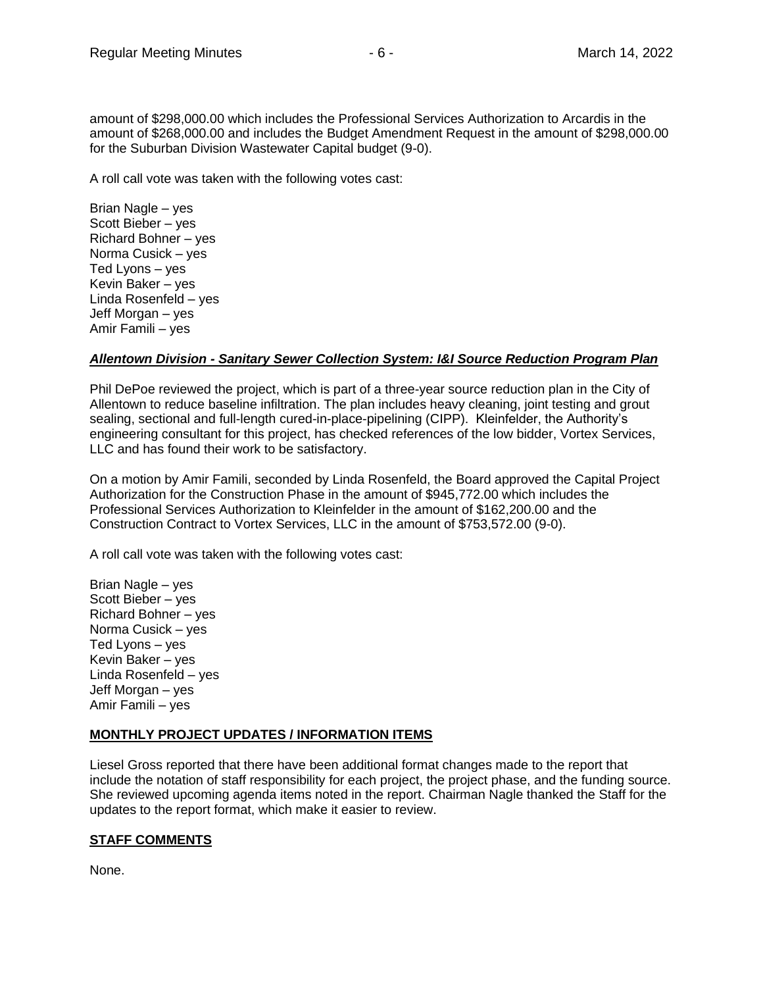A roll call vote was taken with the following votes cast:

Brian Nagle – yes Scott Bieber – yes Richard Bohner – yes Norma Cusick – yes Ted Lyons – yes Kevin Baker – yes Linda Rosenfeld – yes Jeff Morgan – yes Amir Famili – yes

### *Allentown Division - Sanitary Sewer Collection System: I&I Source Reduction Program Plan*

Phil DePoe reviewed the project, which is part of a three-year source reduction plan in the City of Allentown to reduce baseline infiltration. The plan includes heavy cleaning, joint testing and grout sealing, sectional and full-length cured-in-place-pipelining (CIPP). Kleinfelder, the Authority's engineering consultant for this project, has checked references of the low bidder, Vortex Services, LLC and has found their work to be satisfactory.

On a motion by Amir Famili, seconded by Linda Rosenfeld, the Board approved the Capital Project Authorization for the Construction Phase in the amount of \$945,772.00 which includes the Professional Services Authorization to Kleinfelder in the amount of \$162,200.00 and the Construction Contract to Vortex Services, LLC in the amount of \$753,572.00 (9-0).

A roll call vote was taken with the following votes cast:

Brian Nagle – yes Scott Bieber – yes Richard Bohner – yes Norma Cusick – yes Ted Lyons – yes Kevin Baker – yes Linda Rosenfeld – yes Jeff Morgan – yes Amir Famili – yes

### **MONTHLY PROJECT UPDATES / INFORMATION ITEMS**

Liesel Gross reported that there have been additional format changes made to the report that include the notation of staff responsibility for each project, the project phase, and the funding source. She reviewed upcoming agenda items noted in the report. Chairman Nagle thanked the Staff for the updates to the report format, which make it easier to review.

### **STAFF COMMENTS**

None.